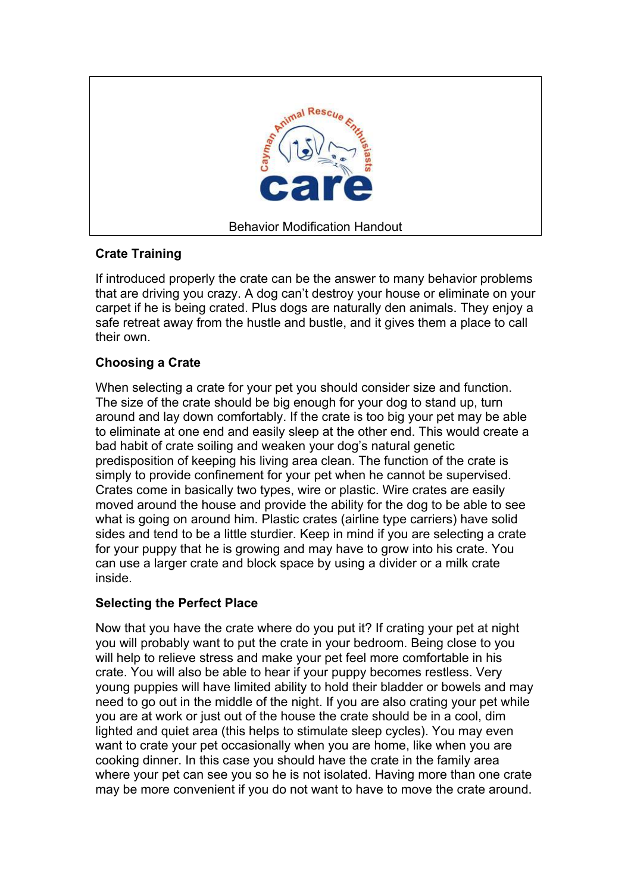

## **Crate Training**

If introduced properly the crate can be the answer to many behavior problems that are driving you crazy. A dog can't destroy your house or eliminate on your carpet if he is being crated. Plus dogs are naturally den animals. They enjoy a safe retreat away from the hustle and bustle, and it gives them a place to call their own.

## **Choosing a Crate**

When selecting a crate for your pet you should consider size and function. The size of the crate should be big enough for your dog to stand up, turn around and lay down comfortably. If the crate is too big your pet may be able to eliminate at one end and easily sleep at the other end. This would create a bad habit of crate soiling and weaken your dog's natural genetic predisposition of keeping his living area clean. The function of the crate is simply to provide confinement for your pet when he cannot be supervised. Crates come in basically two types, wire or plastic. Wire crates are easily moved around the house and provide the ability for the dog to be able to see what is going on around him. Plastic crates (airline type carriers) have solid sides and tend to be a little sturdier. Keep in mind if you are selecting a crate for your puppy that he is growing and may have to grow into his crate. You can use a larger crate and block space by using a divider or a milk crate inside.

## **Selecting the Perfect Place**

Now that you have the crate where do you put it? If crating your pet at night you will probably want to put the crate in your bedroom. Being close to you will help to relieve stress and make your pet feel more comfortable in his crate. You will also be able to hear if your puppy becomes restless. Very young puppies will have limited ability to hold their bladder or bowels and may need to go out in the middle of the night. If you are also crating your pet while you are at work or just out of the house the crate should be in a cool, dim lighted and quiet area (this helps to stimulate sleep cycles). You may even want to crate your pet occasionally when you are home, like when you are cooking dinner. In this case you should have the crate in the family area where your pet can see you so he is not isolated. Having more than one crate may be more convenient if you do not want to have to move the crate around.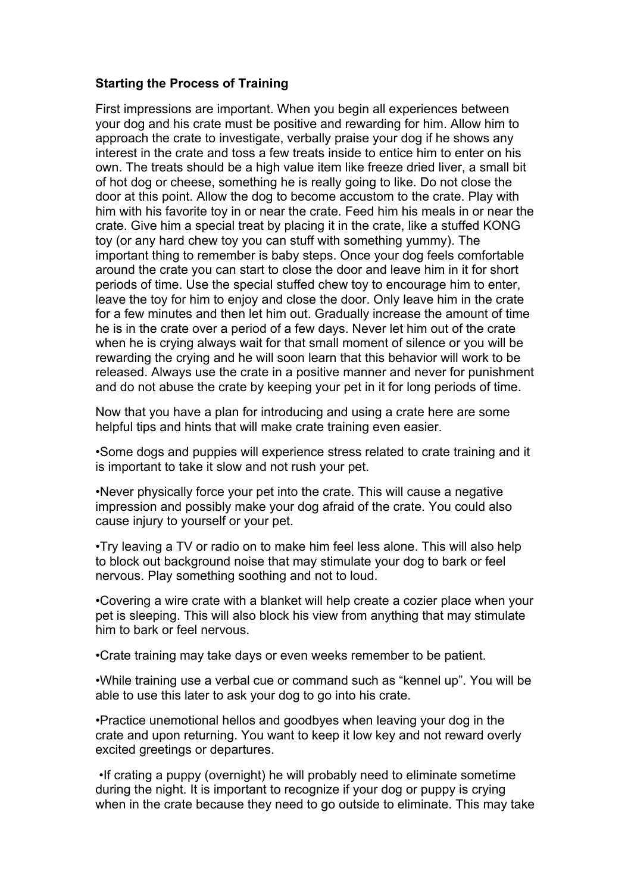## **Starting the Process of Training**

First impressions are important. When you begin all experiences between your dog and his crate must be positive and rewarding for him. Allow him to approach the crate to investigate, verbally praise your dog if he shows any interest in the crate and toss a few treats inside to entice him to enter on his own. The treats should be a high value item like freeze dried liver, a small bit of hot dog or cheese, something he is really going to like. Do not close the door at this point. Allow the dog to become accustom to the crate. Play with him with his favorite toy in or near the crate. Feed him his meals in or near the crate. Give him a special treat by placing it in the crate, like a stuffed KONG toy (or any hard chew toy you can stuff with something yummy). The important thing to remember is baby steps. Once your dog feels comfortable around the crate you can start to close the door and leave him in it for short periods of time. Use the special stuffed chew toy to encourage him to enter, leave the toy for him to enjoy and close the door. Only leave him in the crate for a few minutes and then let him out. Gradually increase the amount of time he is in the crate over a period of a few days. Never let him out of the crate when he is crying always wait for that small moment of silence or you will be rewarding the crying and he will soon learn that this behavior will work to be released. Always use the crate in a positive manner and never for punishment and do not abuse the crate by keeping your pet in it for long periods of time.

Now that you have a plan for introducing and using a crate here are some helpful tips and hints that will make crate training even easier.

•Some dogs and puppies will experience stress related to crate training and it is important to take it slow and not rush your pet.

•Never physically force your pet into the crate. This will cause a negative impression and possibly make your dog afraid of the crate. You could also cause injury to yourself or your pet.

•Try leaving a TV or radio on to make him feel less alone. This will also help to block out background noise that may stimulate your dog to bark or feel nervous. Play something soothing and not to loud.

•Covering a wire crate with a blanket will help create a cozier place when your pet is sleeping. This will also block his view from anything that may stimulate him to bark or feel nervous.

•Crate training may take days or even weeks remember to be patient.

•While training use a verbal cue or command such as "kennel up". You will be able to use this later to ask your dog to go into his crate.

•Practice unemotional hellos and goodbyes when leaving your dog in the crate and upon returning. You want to keep it low key and not reward overly excited greetings or departures.

 •If crating a puppy (overnight) he will probably need to eliminate sometime during the night. It is important to recognize if your dog or puppy is crying when in the crate because they need to go outside to eliminate. This may take